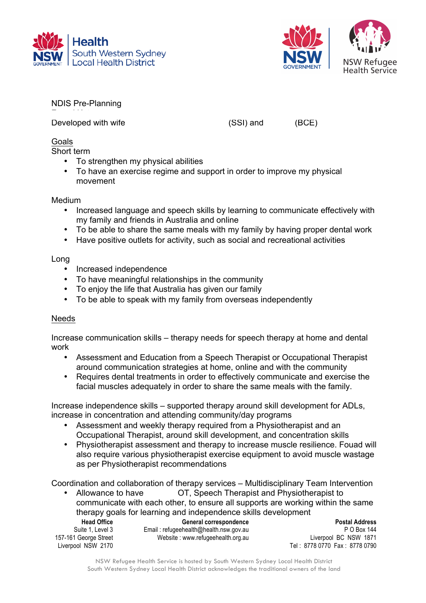



NDIS Pre-Planning

Developed with wife Same Same (SSI) and IBCE)

Goals

Short term

- To strengthen my physical abilities
- To have an exercise regime and support in order to improve my physical movement

Medium

- Increased language and speech skills by learning to communicate effectively with my family and friends in Australia and online
- To be able to share the same meals with my family by having proper dental work
- Have positive outlets for activity, such as social and recreational activities

Long

- Increased independence
- To have meaningful relationships in the community
- To enjoy the life that Australia has given our family
- To be able to speak with my family from overseas independently

## Needs

Increase communication skills – therapy needs for speech therapy at home and dental work

- Assessment and Education from a Speech Therapist or Occupational Therapist around communication strategies at home, online and with the community
- Requires dental treatments in order to effectively communicate and exercise the facial muscles adequately in order to share the same meals with the family.

Increase independence skills – supported therapy around skill development for ADLs, increase in concentration and attending community/day programs

- Assessment and weekly therapy required from a Physiotherapist and an Occupational Therapist, around skill development, and concentration skills
- Physiotherapist assessment and therapy to increase muscle resilience. Fouad will also require various physiotherapist exercise equipment to avoid muscle wastage as per Physiotherapist recommendations

Coordination and collaboration of therapy services – Multidisciplinary Team Intervention

Allowance to have **Fourad** OT, Speech Therapist and Physiotherapist to communicate with each other, to ensure all supports are working within the same therapy goals for learning and independence skills development

**Head Office** Suite 1, Level 3 157-161 George Street Liverpool NSW 2170

**General correspondence** Email : refugeehealth@health.nsw.gov.au Website : www.refugeehealth.org.au

**Postal Address** P O Box 144 Liverpool BC NSW 1871 Tel : 8778 0770 Fax : 8778 0790